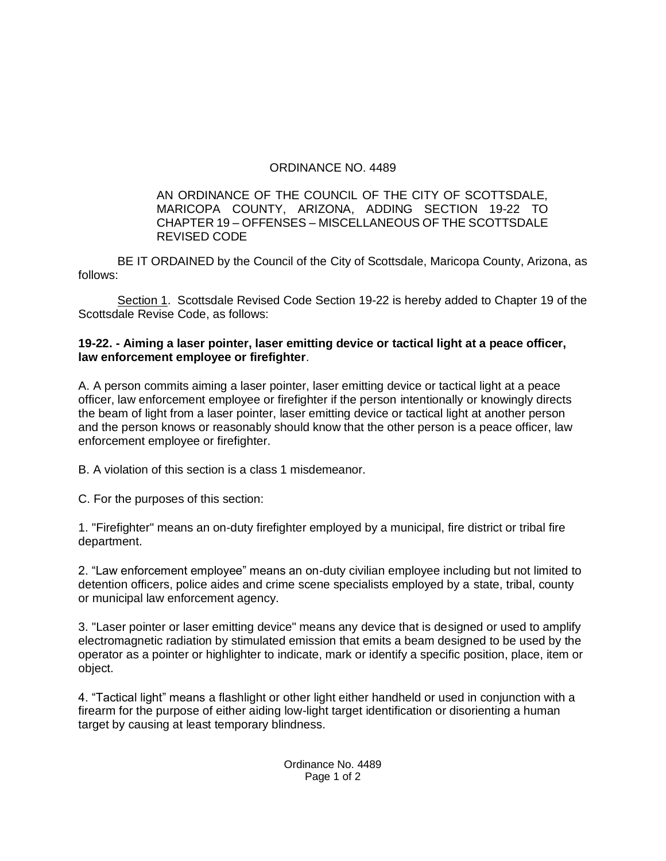## ORDINANCE NO. 4489

## AN ORDINANCE OF THE COUNCIL OF THE CITY OF SCOTTSDALE, MARICOPA COUNTY, ARIZONA, ADDING SECTION 19-22 TO CHAPTER 19 – OFFENSES – MISCELLANEOUS OF THE SCOTTSDALE REVISED CODE

BE IT ORDAINED by the Council of the City of Scottsdale, Maricopa County, Arizona, as follows:

Section 1. Scottsdale Revised Code Section 19-22 is hereby added to Chapter 19 of the Scottsdale Revise Code, as follows:

## **19-22. - Aiming a laser pointer, laser emitting device or tactical light at a peace officer, law enforcement employee or firefighter**.

A. A person commits aiming a laser pointer, laser emitting device or tactical light at a peace officer, law enforcement employee or firefighter if the person intentionally or knowingly directs the beam of light from a laser pointer, laser emitting device or tactical light at another person and the person knows or reasonably should know that the other person is a peace officer, law enforcement employee or firefighter.

B. A violation of this section is a class 1 misdemeanor.

C. For the purposes of this section:

1. "Firefighter" means an on-duty firefighter employed by a municipal, fire district or tribal fire department.

2. "Law enforcement employee" means an on-duty civilian employee including but not limited to detention officers, police aides and crime scene specialists employed by a state, tribal, county or municipal law enforcement agency.

3. "Laser pointer or laser emitting device" means any device that is designed or used to amplify electromagnetic radiation by stimulated emission that emits a beam designed to be used by the operator as a pointer or highlighter to indicate, mark or identify a specific position, place, item or object.

4. "Tactical light" means a flashlight or other light either handheld or used in conjunction with a firearm for the purpose of either aiding low-light target identification or disorienting a human target by causing at least temporary blindness.